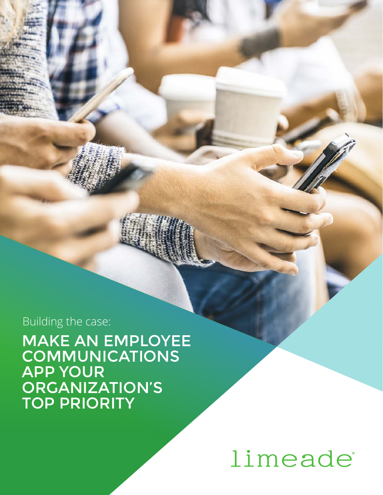# limeade

### MAKE AN EMPLOYEE **COMMUNICATIONS** APP YOUR ORGANIZATION'S TOP PRIORITY

Building the case: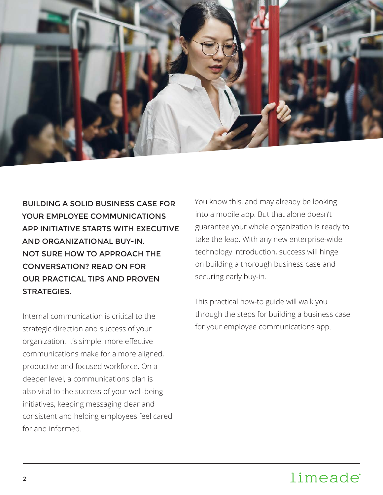

BUILDING A SOLID BUSINESS CASE FOR YOUR EMPLOYEE COMMUNICATIONS APP INITIATIVE STARTS WITH EXECUTIVE AND ORGANIZATIONAL BUY-IN. NOT SURE HOW TO APPROACH THE CONVERSATION? READ ON FOR OUR PRACTICAL TIPS AND PROVEN STRATEGIES.

Internal communication is critical to the strategic direction and success of your organization. It's simple: more effective communications make for a more aligned, productive and focused workforce. On a deeper level, a communications plan is also vital to the success of your well-being initiatives, keeping messaging clear and consistent and helping employees feel cared for and informed.

You know this, and may already be looking into a mobile app. But that alone doesn't guarantee your whole organization is ready to take the leap. With any new enterprise-wide technology introduction, success will hinge on building a thorough business case and securing early buy-in.

This practical how-to guide will walk you through the steps for building a business case for your employee communications app.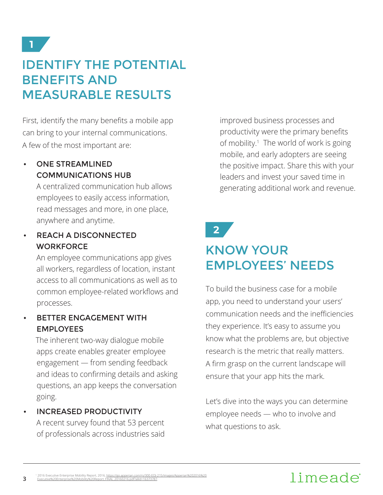### IDENTIFY THE POTENTIAL BENEFITS AND MEASURABLE RESULTS

First, identify the many benefits a mobile app can bring to your internal communications. A few of the most important are:

#### • ONE STREAMLINED COMMUNICATIONS HUB

A centralized communication hub allows employees to easily access information, read messages and more, in one place, anywhere and anytime.

#### • REACH A DISCONNECTED **WORKFORCE**

An employee communications app gives all workers, regardless of location, instant access to all communications as well as to common employee-related workflows and processes.

#### • BETTER ENGAGEMENT WITH EMPLOYEES

The inherent two-way dialogue mobile apps create enables greater employee engagement — from sending feedback and ideas to confirming details and asking questions, an app keeps the conversation going.

• INCREASED PRODUCTIVITY A recent survey found that 53 percent of professionals across industries said

**3**

improved business processes and productivity were the primary benefits of mobility.<sup>1</sup> The world of work is going mobile, and early adopters are seeing the positive impact. Share this with your leaders and invest your saved time in generating additional work and revenue.

## **2**

### KNOW YOUR EMPLOYEES' NEEDS

To build the business case for a mobile app, you need to understand your users' communication needs and the inefficiencies they experience. It's easy to assume you know what the problems are, but objective research is the metric that really matters. A firm grasp on the current landscape will ensure that your app hits the mark.

Let's dive into the ways you can determine employee needs — who to involve and what questions to ask.

### limeade

<sup>1</sup> 2016 Executive Enterprise Mobility Report, 2016, <u>https://go.apperian.com/rs/300-EOJ-215/images/Apperian%202016%20</u><br>Executive%20Enterprise%20Mobility%20Report\_FINAL\_20160216.pdf?aliId=16373787.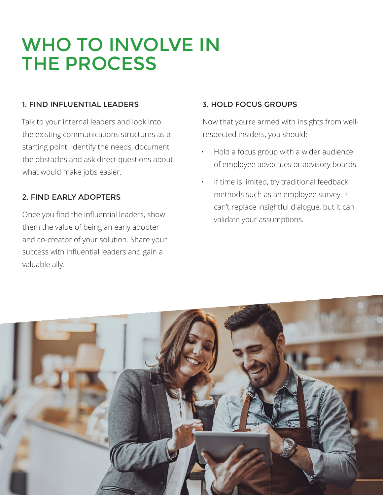## WHO TO INVOLVE IN THE PROCESS

#### 1. FIND INFLUENTIAL LEADERS

Talk to your internal leaders and look into the existing communications structures as a starting point. Identify the needs, document the obstacles and ask direct questions about what would make jobs easier.

#### 2. FIND EARLY ADOPTERS

Once you find the influential leaders, show them the value of being an early adopter and co-creator of your solution. Share your success with influential leaders and gain a valuable ally.

#### 3. HOLD FOCUS GROUPS

Now that you're armed with insights from wellrespected insiders, you should:

- Hold a focus group with a wider audience of employee advocates or advisory boards.
- If time is limited, try traditional feedback methods such as an employee survey. It can't replace insightful dialogue, but it can validate your assumptions.

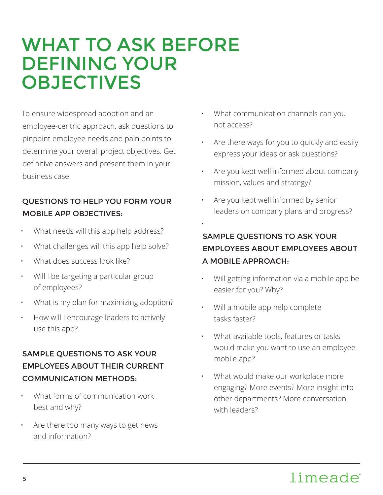## WHAT TO ASK BEFORE DEFINING YOUR **OBJECTIVES**

To ensure widespread adoption and an employee-centric approach, ask questions to pinpoint employee needs and pain points to determine your overall project objectives. Get definitive answers and present them in your business case.

#### QUESTIONS TO HELP YOU FORM YOUR MOBILE APP OBJECTIVES:

- What needs will this app help address?
- What challenges will this app help solve?
- What does success look like?
- Will I be targeting a particular group of employees?
- What is my plan for maximizing adoption?
- How will I encourage leaders to actively use this app?

#### SAMPLE QUESTIONS TO ASK YOUR EMPLOYEES ABOUT THEIR CURRENT COMMUNICATION METHODS:

- What forms of communication work best and why?
- Are there too many ways to get news and information?
- What communication channels can you not access?
- Are there ways for you to quickly and easily express your ideas or ask questions?
- Are you kept well informed about company mission, values and strategy?
- Are you kept well informed by senior leaders on company plans and progress?

#### SAMPLE QUESTIONS TO ASK YOUR EMPLOYEES ABOUT EMPLOYEES ABOUT A MOBILE APPROACH:

- Will getting information via a mobile app be easier for you? Why?
- Will a mobile app help complete tasks faster?

•

- What available tools, features or tasks would make you want to use an employee mobile app?
- What would make our workplace more engaging? More events? More insight into other departments? More conversation with leaders?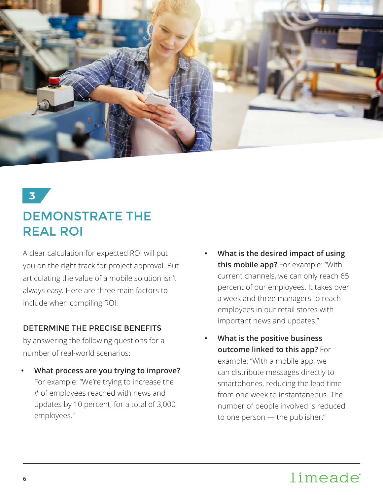

### DEMONSTRATE THE REAL ROI

A clear calculation for expected ROI will put you on the right track for project approval. But articulating the value of a mobile solution isn't always easy. Here are three main factors to include when compiling ROI:

#### DETERMINE THE PRECISE BENEFITS

by answering the following questions for a number of real-world scenarios:

- **• What process are you trying to improve?** For example: "We're trying to increase the # of employees reached with news and updates by 10 percent, for a total of 3,000 employees."
- **• What is the desired impact of using this mobile app?** For example: "With current channels, we can only reach 65 percent of our employees. It takes over a week and three managers to reach employees in our retail stores with important news and updates."
- **• What is the positive business outcome linked to this app?** For example: "With a mobile app, we can distribute messages directly to smartphones, reducing the lead time from one week to instantaneous. The number of people involved is reduced to one person — the publisher."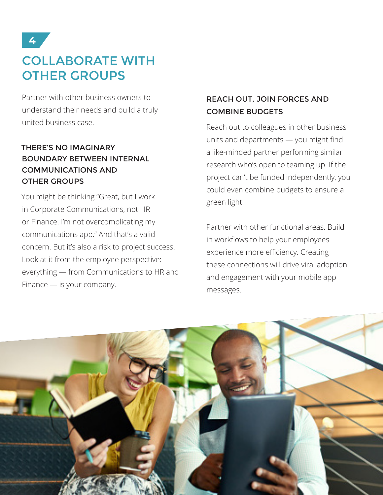### COLLABORATE WITH OTHER GROUPS

Partner with other business owners to understand their needs and build a truly united business case.

#### THERE'S NO IMAGINARY BOUNDARY BETWEEN INTERNAL COMMUNICATIONS AND OTHER GROUPS

You might be thinking "Great, but I work in Corporate Communications, not HR or Finance. I'm not overcomplicating my communications app." And that's a valid concern. But it's also a risk to project success. Look at it from the employee perspective: everything — from Communications to HR and Finance — is your company.

#### REACH OUT, JOIN FORCES AND COMBINE BUDGETS

Reach out to colleagues in other business units and departments — you might find a like-minded partner performing similar research who's open to teaming up. If the project can't be funded independently, you could even combine budgets to ensure a green light.

Partner with other functional areas. Build in workflows to help your employees experience more efficiency. Creating these connections will drive viral adoption and engagement with your mobile app messages.

![](_page_6_Picture_8.jpeg)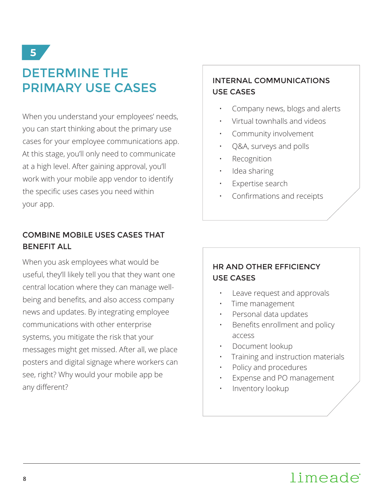### DETERMINE THE PRIMARY USE CASES

When you understand your employees' needs, you can start thinking about the primary use cases for your employee communications app. At this stage, you'll only need to communicate at a high level. After gaining approval, you'll work with your mobile app vendor to identify the specific uses cases you need within your app.

#### COMBINE MOBILE USES CASES THAT BENEFIT ALL

When you ask employees what would be useful, they'll likely tell you that they want one central location where they can manage wellbeing and benefits, and also access company news and updates. By integrating employee communications with other enterprise systems, you mitigate the risk that your messages might get missed. After all, we place posters and digital signage where workers can see, right? Why would your mobile app be any different?

#### INTERNAL COMMUNICATIONS USE CASES

- Company news, blogs and alerts
- Virtual townhalls and videos
- Community involvement
- Q&A, surveys and polls
- **Recognition**
- Idea sharing
- Expertise search
- Confirmations and receipts

#### HR AND OTHER EFFICIENCY USE CASES

- Leave request and approvals
- Time management
- Personal data updates
- Benefits enrollment and policy access
- Document lookup
- Training and instruction materials
- Policy and procedures
- Expense and PO management
- Inventory lookup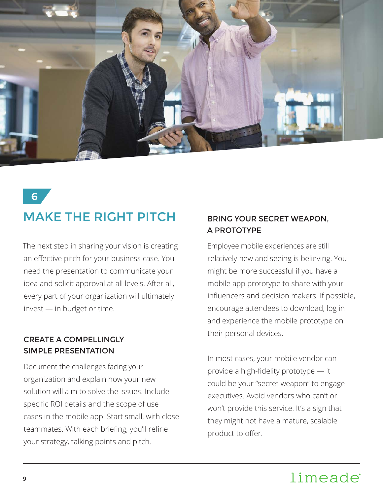![](_page_8_Picture_0.jpeg)

### MAKE THE RIGHT PITCH

The next step in sharing your vision is creating an effective pitch for your business case. You need the presentation to communicate your idea and solicit approval at all levels. After all, every part of your organization will ultimately invest — in budget or time.

#### CREATE A COMPELLINGLY SIMPLE PRESENTATION

Document the challenges facing your organization and explain how your new solution will aim to solve the issues. Include specific ROI details and the scope of use cases in the mobile app. Start small, with close teammates. With each briefing, you'll refine your strategy, talking points and pitch.

#### BRING YOUR SECRET WEAPON, A PROTOTYPE

Employee mobile experiences are still relatively new and seeing is believing. You might be more successful if you have a mobile app prototype to share with your influencers and decision makers. If possible, encourage attendees to download, log in and experience the mobile prototype on their personal devices.

In most cases, your mobile vendor can provide a high-fidelity prototype — it could be your "secret weapon" to engage executives. Avoid vendors who can't or won't provide this service. It's a sign that they might not have a mature, scalable product to offer.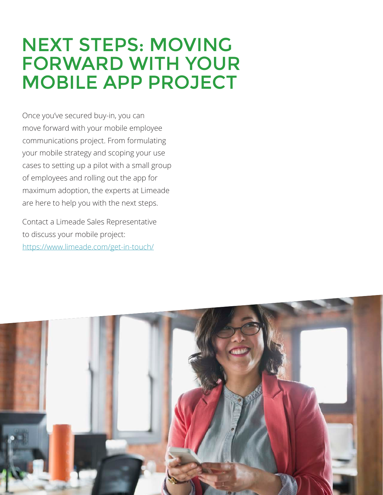## NEXT STEPS: MOVING FORWARD WITH YOUR MOBILE APP PROJECT

Once you've secured buy-in, you can move forward with your mobile employee communications project. From formulating your mobile strategy and scoping your use cases to setting up a pilot with a small group of employees and rolling out the app for maximum adoption, the experts at Limeade are here to help you with the next steps.

Contact a Limeade Sales Representative to discuss your mobile project: https://www.limeade.com/get-in-touch/

![](_page_9_Picture_3.jpeg)